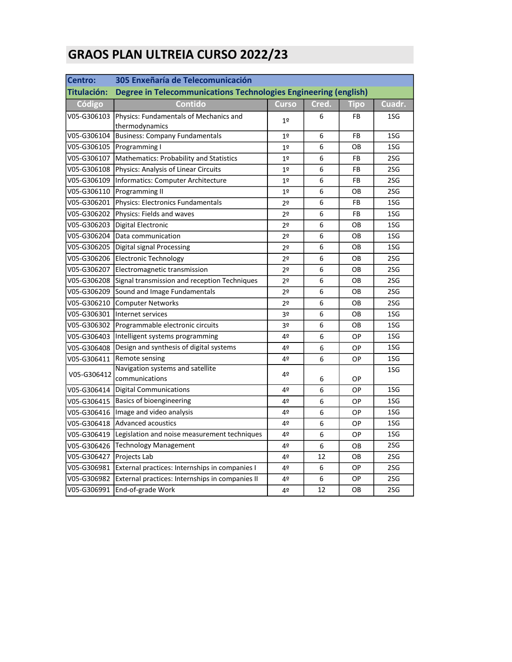## GRAOS PLAN ULTREIA CURSO 2022/23

| Centro:     | 305 Enxeñaría de Telecomunicación                               |                |       |             |                 |  |  |
|-------------|-----------------------------------------------------------------|----------------|-------|-------------|-----------------|--|--|
| Titulación: | Degree in Telecommunications Technologies Engineering (english) |                |       |             |                 |  |  |
| Código      | <b>Contido</b>                                                  | <b>Curso</b>   | Cred. | <b>Tipo</b> | Cuadr.          |  |  |
| V05-G306103 | Physics: Fundamentals of Mechanics and<br>thermodynamics        | 1 <sup>°</sup> | 6     | <b>FB</b>   | 1SG             |  |  |
| V05-G306104 | <b>Business: Company Fundamentals</b>                           | 1 <sup>°</sup> | 6     | <b>FB</b>   | 1SG             |  |  |
| V05-G306105 | Programming I                                                   | 1 <sup>°</sup> | 6     | OВ          | 1SG             |  |  |
| V05-G306107 | Mathematics: Probability and Statistics                         | 1 <sup>°</sup> | 6     | FB          | 2SG             |  |  |
| V05-G306108 | Physics: Analysis of Linear Circuits                            | 1 <sup>°</sup> | 6     | FB          | 2SG             |  |  |
| V05-G306109 | Informatics: Computer Architecture                              | 1 <sup>°</sup> | 6     | <b>FB</b>   | 2SG             |  |  |
| V05-G306110 | <b>Programming II</b>                                           | 1 <sup>°</sup> | 6     | OВ          | 2SG             |  |  |
| V05-G306201 | Physics: Electronics Fundamentals                               | 2 <sup>o</sup> | 6     | <b>FB</b>   | 1SG             |  |  |
| V05-G306202 | Physics: Fields and waves                                       | 2 <sup>o</sup> | 6     | FB          | 1SG             |  |  |
| V05-G306203 | Digital Electronic                                              | 2 <sup>o</sup> | 6     | OВ          | 1SG             |  |  |
| V05-G306204 | Data communication                                              | 2 <sup>o</sup> | 6     | OВ          | 1SG             |  |  |
| V05-G306205 | Digital signal Processing                                       | 2 <sup>o</sup> | 6     | OВ          | 1SG             |  |  |
| V05-G306206 | <b>Electronic Technology</b>                                    | 2 <sup>o</sup> | 6     | OB          | 2SG             |  |  |
| V05-G306207 | Electromagnetic transmission                                    | 2 <sup>0</sup> | 6     | OВ          | 2S <sub>G</sub> |  |  |
| V05-G306208 | Signal transmission and reception Techniques                    | 2 <sup>o</sup> | 6     | OВ          | 2SG             |  |  |
| V05-G306209 | Sound and Image Fundamentals                                    | 2 <sup>o</sup> | 6     | OB          | 2SG             |  |  |
| V05-G306210 | <b>Computer Networks</b>                                        | 2 <sup>o</sup> | 6     | OВ          | 2SG             |  |  |
| V05-G306301 | Internet services                                               | 3º             | 6     | OB          | 1SG             |  |  |
| V05-G306302 | Programmable electronic circuits                                | 3º             | 6     | OВ          | 1SG             |  |  |
| V05-G306403 | Intelligent systems programming                                 | 4º             | 6     | OP          | 1SG             |  |  |
| V05-G306408 | Design and synthesis of digital systems                         | 4º             | 6     | OP          | 1SG             |  |  |
| V05-G306411 | Remote sensing                                                  | 4º             | 6     | OP          | 1SG             |  |  |
| V05-G306412 | Navigation systems and satellite<br>communications              | 4º             | 6     | OP          | 1SG             |  |  |
| V05-G306414 | Digital Communications                                          | 4º             | 6     | OP          | 1SG             |  |  |
| V05-G306415 | Basics of bioengineering                                        | 4º             | 6     | OP          | 1SG             |  |  |
|             | V05-G306416   Image and video analysis                          | 4º             | 6     | OP          | 1SG             |  |  |
| V05-G306418 | <b>Advanced acoustics</b>                                       | 4º             | 6     | OP          | 1SG             |  |  |
| V05-G306419 | Legislation and noise measurement techniques                    | 4º             | 6     | OP          | 1SG             |  |  |
| V05-G306426 | <b>Technology Management</b>                                    | 4º             | 6     | OВ          | 2SG             |  |  |
| V05-G306427 | Projects Lab                                                    | 4º             | 12    | OB          | 2SG             |  |  |
| V05-G306981 | External practices: Internships in companies I                  | 4º             | 6     | ОP          | 2SG             |  |  |
| V05-G306982 | External practices: Internships in companies II                 | 42             | 6     | ОP          | 2SG             |  |  |
| V05-G306991 | End-of-grade Work                                               | 4º             | 12    | OВ          | 2SG             |  |  |